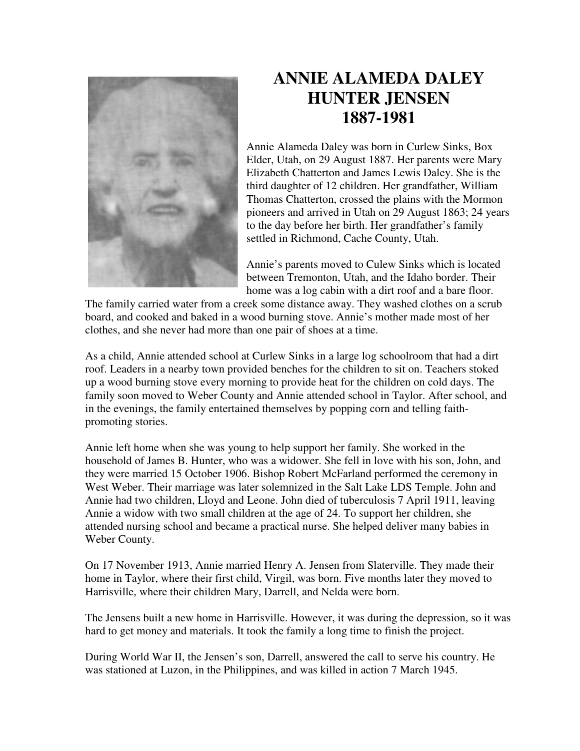

## **ANNIE ALAMEDA DALEY HUNTER JENSEN 1887-1981**

Annie Alameda Daley was born in Curlew Sinks, Box Elder, Utah, on 29 August 1887. Her parents were Mary Elizabeth Chatterton and James Lewis Daley. She is the third daughter of 12 children. Her grandfather, William Thomas Chatterton, crossed the plains with the Mormon pioneers and arrived in Utah on 29 August 1863; 24 years to the day before her birth. Her grandfather's family settled in Richmond, Cache County, Utah.

Annie's parents moved to Culew Sinks which is located between Tremonton, Utah, and the Idaho border. Their home was a log cabin with a dirt roof and a bare floor.

The family carried water from a creek some distance away. They washed clothes on a scrub board, and cooked and baked in a wood burning stove. Annie's mother made most of her clothes, and she never had more than one pair of shoes at a time.

As a child, Annie attended school at Curlew Sinks in a large log schoolroom that had a dirt roof. Leaders in a nearby town provided benches for the children to sit on. Teachers stoked up a wood burning stove every morning to provide heat for the children on cold days. The family soon moved to Weber County and Annie attended school in Taylor. After school, and in the evenings, the family entertained themselves by popping corn and telling faithpromoting stories.

Annie left home when she was young to help support her family. She worked in the household of James B. Hunter, who was a widower. She fell in love with his son, John, and they were married 15 October 1906. Bishop Robert McFarland performed the ceremony in West Weber. Their marriage was later solemnized in the Salt Lake LDS Temple. John and Annie had two children, Lloyd and Leone. John died of tuberculosis 7 April 1911, leaving Annie a widow with two small children at the age of 24. To support her children, she attended nursing school and became a practical nurse. She helped deliver many babies in Weber County.

On 17 November 1913, Annie married Henry A. Jensen from Slaterville. They made their home in Taylor, where their first child, Virgil, was born. Five months later they moved to Harrisville, where their children Mary, Darrell, and Nelda were born.

The Jensens built a new home in Harrisville. However, it was during the depression, so it was hard to get money and materials. It took the family a long time to finish the project.

During World War II, the Jensen's son, Darrell, answered the call to serve his country. He was stationed at Luzon, in the Philippines, and was killed in action 7 March 1945.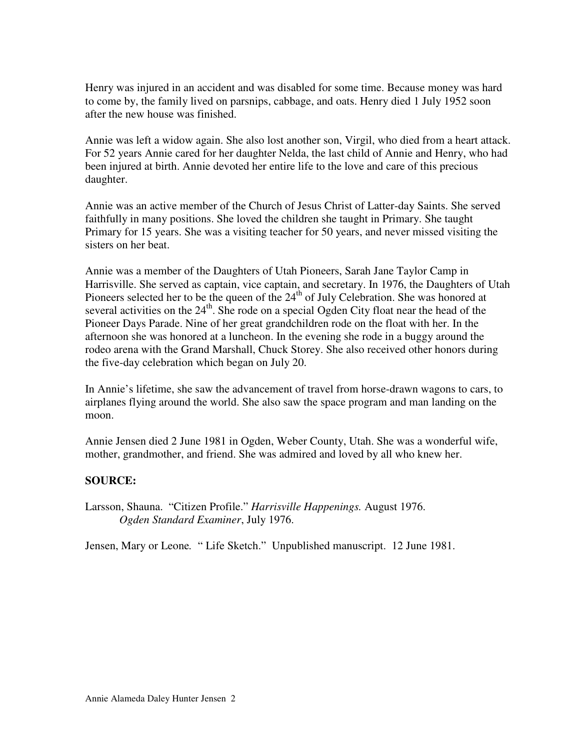Henry was injured in an accident and was disabled for some time. Because money was hard to come by, the family lived on parsnips, cabbage, and oats. Henry died 1 July 1952 soon after the new house was finished.

Annie was left a widow again. She also lost another son, Virgil, who died from a heart attack. For 52 years Annie cared for her daughter Nelda, the last child of Annie and Henry, who had been injured at birth. Annie devoted her entire life to the love and care of this precious daughter.

Annie was an active member of the Church of Jesus Christ of Latter-day Saints. She served faithfully in many positions. She loved the children she taught in Primary. She taught Primary for 15 years. She was a visiting teacher for 50 years, and never missed visiting the sisters on her beat.

Annie was a member of the Daughters of Utah Pioneers, Sarah Jane Taylor Camp in Harrisville. She served as captain, vice captain, and secretary. In 1976, the Daughters of Utah Pioneers selected her to be the queen of the  $24<sup>th</sup>$  of July Celebration. She was honored at several activities on the  $24<sup>th</sup>$ . She rode on a special Ogden City float near the head of the Pioneer Days Parade. Nine of her great grandchildren rode on the float with her. In the afternoon she was honored at a luncheon. In the evening she rode in a buggy around the rodeo arena with the Grand Marshall, Chuck Storey. She also received other honors during the five-day celebration which began on July 20.

In Annie's lifetime, she saw the advancement of travel from horse-drawn wagons to cars, to airplanes flying around the world. She also saw the space program and man landing on the moon.

Annie Jensen died 2 June 1981 in Ogden, Weber County, Utah. She was a wonderful wife, mother, grandmother, and friend. She was admired and loved by all who knew her.

## **SOURCE:**

Larsson, Shauna. "Citizen Profile." *Harrisville Happenings.* August 1976. *Ogden Standard Examiner*, July 1976.

Jensen, Mary or Leone*.* " Life Sketch." Unpublished manuscript. 12 June 1981.